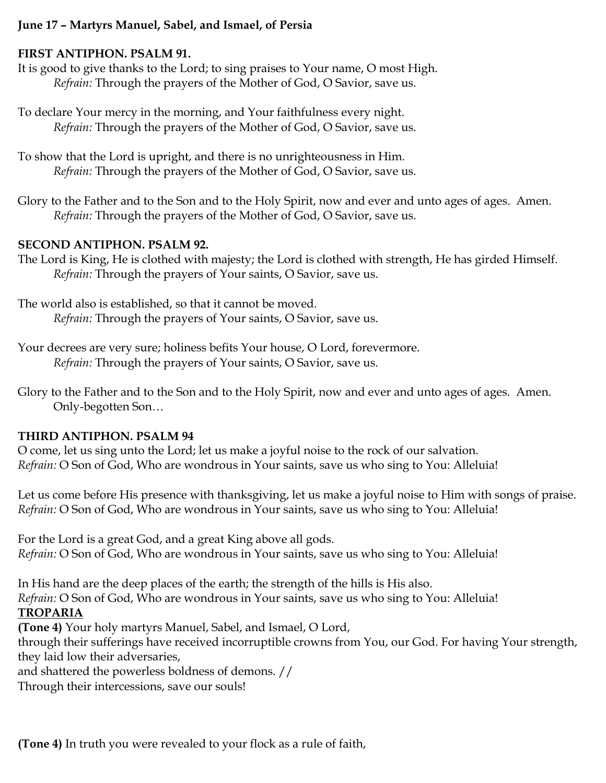### **June 17 – Martyrs Manuel, Sabel, and Ismael, of Persia**

#### **FIRST ANTIPHON. PSALM 91.**

It is good to give thanks to the Lord; to sing praises to Your name, O most High. *Refrain:* Through the prayers of the Mother of God, O Savior, save us.

To declare Your mercy in the morning, and Your faithfulness every night. *Refrain:* Through the prayers of the Mother of God, O Savior, save us.

To show that the Lord is upright, and there is no unrighteousness in Him. *Refrain:* Through the prayers of the Mother of God, O Savior, save us.

Glory to the Father and to the Son and to the Holy Spirit, now and ever and unto ages of ages. Amen. *Refrain:* Through the prayers of the Mother of God, O Savior, save us.

### **SECOND ANTIPHON. PSALM 92.**

The Lord is King, He is clothed with majesty; the Lord is clothed with strength, He has girded Himself. *Refrain:* Through the prayers of Your saints, O Savior, save us.

The world also is established, so that it cannot be moved. *Refrain:* Through the prayers of Your saints, O Savior, save us.

Your decrees are very sure; holiness befits Your house, O Lord, forevermore. *Refrain:* Through the prayers of Your saints, O Savior, save us.

Glory to the Father and to the Son and to the Holy Spirit, now and ever and unto ages of ages. Amen. Only-begotten Son…

#### **THIRD ANTIPHON. PSALM 94**

O come, let us sing unto the Lord; let us make a joyful noise to the rock of our salvation. *Refrain:* O Son of God, Who are wondrous in Your saints, save us who sing to You: Alleluia!

Let us come before His presence with thanksgiving, let us make a joyful noise to Him with songs of praise. *Refrain:* O Son of God, Who are wondrous in Your saints, save us who sing to You: Alleluia!

For the Lord is a great God, and a great King above all gods. *Refrain:* O Son of God, Who are wondrous in Your saints, save us who sing to You: Alleluia!

In His hand are the deep places of the earth; the strength of the hills is His also. *Refrain:* O Son of God, Who are wondrous in Your saints, save us who sing to You: Alleluia! **TROPARIA**

**(Tone 4)** Your holy martyrs Manuel, Sabel, and Ismael, O Lord,

through their sufferings have received incorruptible crowns from You, our God. For having Your strength, they laid low their adversaries,

and shattered the powerless boldness of demons. //

Through their intercessions, save our souls!

**(Tone 4)** In truth you were revealed to your flock as a rule of faith,